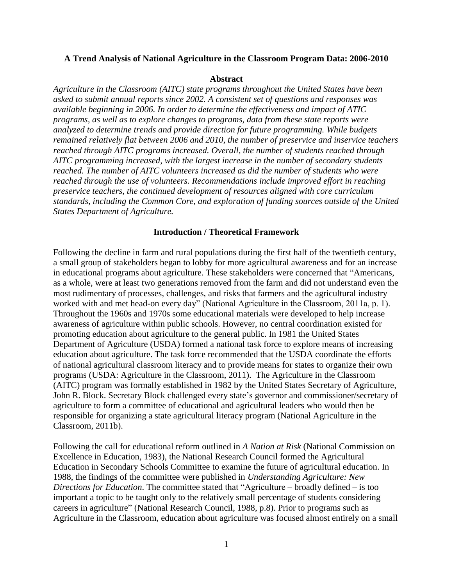### **A Trend Analysis of National Agriculture in the Classroom Program Data: 2006-2010**

#### **Abstract**

*Agriculture in the Classroom (AITC) state programs throughout the United States have been asked to submit annual reports since 2002. A consistent set of questions and responses was available beginning in 2006. In order to determine the effectiveness and impact of ATIC programs, as well as to explore changes to programs, data from these state reports were analyzed to determine trends and provide direction for future programming. While budgets remained relatively flat between 2006 and 2010, the number of preservice and inservice teachers reached through AITC programs increased. Overall, the number of students reached through AITC programming increased, with the largest increase in the number of secondary students reached. The number of AITC volunteers increased as did the number of students who were reached through the use of volunteers. Recommendations include improved effort in reaching preservice teachers, the continued development of resources aligned with core curriculum standards, including the Common Core, and exploration of funding sources outside of the United States Department of Agriculture.*

### **Introduction / Theoretical Framework**

Following the decline in farm and rural populations during the first half of the twentieth century, a small group of stakeholders began to lobby for more agricultural awareness and for an increase in educational programs about agriculture. These stakeholders were concerned that "Americans, as a whole, were at least two generations removed from the farm and did not understand even the most rudimentary of processes, challenges, and risks that farmers and the agricultural industry worked with and met head-on every day" (National Agriculture in the Classroom, 2011a, p. 1). Throughout the 1960s and 1970s some educational materials were developed to help increase awareness of agriculture within public schools. However, no central coordination existed for promoting education about agriculture to the general public. In 1981 the United States Department of Agriculture (USDA) formed a national task force to explore means of increasing education about agriculture. The task force recommended that the USDA coordinate the efforts of national agricultural classroom literacy and to provide means for states to organize their own programs (USDA: Agriculture in the Classroom, 2011). The Agriculture in the Classroom (AITC) program was formally established in 1982 by the United States Secretary of Agriculture, John R. Block. Secretary Block challenged every state's governor and commissioner/secretary of agriculture to form a committee of educational and agricultural leaders who would then be responsible for organizing a state agricultural literacy program (National Agriculture in the Classroom, 2011b).

Following the call for educational reform outlined in *A Nation at Risk* (National Commission on Excellence in Education, 1983), the National Research Council formed the Agricultural Education in Secondary Schools Committee to examine the future of agricultural education. In 1988, the findings of the committee were published in *Understanding Agriculture: New Directions for Education*. The committee stated that "Agriculture – broadly defined – is too important a topic to be taught only to the relatively small percentage of students considering careers in agriculture" (National Research Council, 1988, p.8). Prior to programs such as Agriculture in the Classroom, education about agriculture was focused almost entirely on a small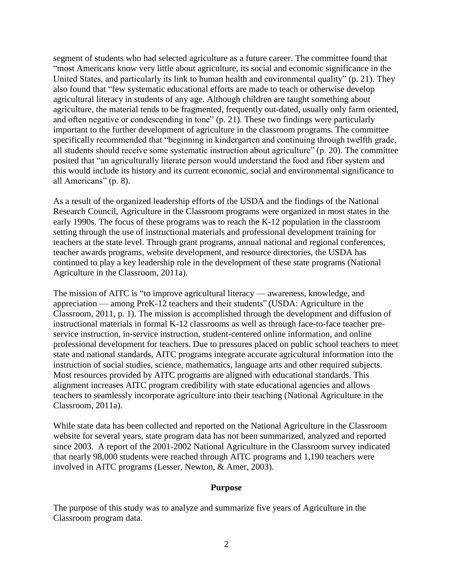segment of students who had selected agriculture as a future career. The committee found that "most Americans know very little about agriculture, its social and economic significance in the United States, and particularly its link to human health and environmental quality" (p. 21). They also found that "few systematic educational efforts are made to teach or otherwise develop agricultural literacy in students of any age. Although children are taught something about agriculture, the material tends to be fragmented, frequently out-dated, usually only farm oriented, and often negative or condescending in tone" (p. 21). These two findings were particularly important to the further development of agriculture in the classroom programs. The committee specifically recommended that "beginning in kindergarten and continuing through twelfth grade, all students should receive some systematic instruction about agriculture" (p. 20). The committee posited that "an agriculturally literate person would understand the food and fiber system and this would include its history and its current economic, social and environmental significance to all Americans" (p. 8).

As a result of the organized leadership efforts of the USDA and the findings of the National Research Council, Agriculture in the Classroom programs were organized in most states in the early 1990s. The focus of these programs was to reach the K-12 population in the classroom setting through the use of instructional materials and professional development training for teachers at the state level. Through grant programs, annual national and regional conferences, teacher awards programs, website development, and resource directories, the USDA has continued to play a key leadership role in the development of these state programs (National Agriculture in the Classroom, 2011a).

The mission of AITC is "to improve agricultural literacy — awareness, knowledge, and appreciation — among PreK-12 teachers and their students" (USDA: Agriculture in the Classroom, 2011, p. 1). The mission is accomplished through the development and diffusion of instructional materials in formal K-12 classrooms as well as through face-to-face teacher preservice instruction, in-service instruction, student-centered online information, and online professional development for teachers. Due to pressures placed on public school teachers to meet state and national standards, AITC programs integrate accurate agricultural information into the instruction of social studies, science, mathematics, language arts and other required subjects. Most resources provided by AITC programs are aligned with educational standards. This alignment increases AITC program credibility with state educational agencies and allows teachers to seamlessly incorporate agriculture into their teaching (National Agriculture in the Classroom, 2011a).

While state data has been collected and reported on the National Agriculture in the Classroom website for several years, state program data has not been summarized, analyzed and reported since 2003. A report of the 2001-2002 National Agriculture in the Classroom survey indicated that nearly 98,000 students were reached through AITC programs and 1,190 teachers were involved in AITC programs (Lesser, Newton, & Amer, 2003).

### **Purpose**

The purpose of this study was to analyze and summarize five years of Agriculture in the Classroom program data.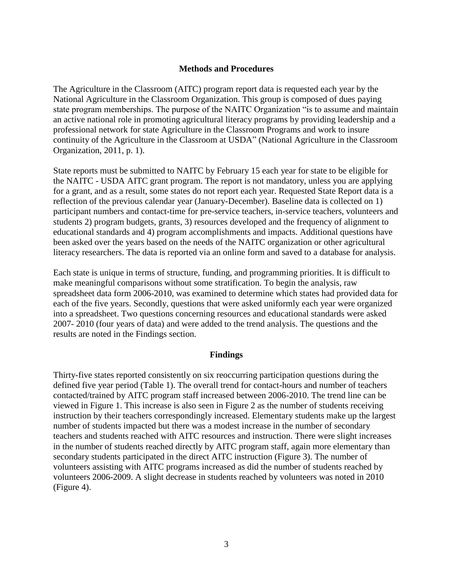# **Methods and Procedures**

The Agriculture in the Classroom (AITC) program report data is requested each year by the National Agriculture in the Classroom Organization. This group is composed of dues paying state program memberships. The purpose of the NAITC Organization "is to assume and maintain an active national role in promoting agricultural literacy programs by providing leadership and a professional network for state Agriculture in the Classroom Programs and work to insure continuity of the Agriculture in the Classroom at USDA" (National Agriculture in the Classroom Organization, 2011, p. 1).

State reports must be submitted to NAITC by February 15 each year for state to be eligible for the NAITC - USDA AITC grant program. The report is not mandatory, unless you are applying for a grant, and as a result, some states do not report each year. Requested State Report data is a reflection of the previous calendar year (January-December). Baseline data is collected on 1) participant numbers and contact-time for pre-service teachers, in-service teachers, volunteers and students 2) program budgets, grants, 3) resources developed and the frequency of alignment to educational standards and 4) program accomplishments and impacts. Additional questions have been asked over the years based on the needs of the NAITC organization or other agricultural literacy researchers. The data is reported via an online form and saved to a database for analysis.

Each state is unique in terms of structure, funding, and programming priorities. It is difficult to make meaningful comparisons without some stratification. To begin the analysis, raw spreadsheet data form 2006-2010, was examined to determine which states had provided data for each of the five years. Secondly, questions that were asked uniformly each year were organized into a spreadsheet. Two questions concerning resources and educational standards were asked 2007- 2010 (four years of data) and were added to the trend analysis. The questions and the results are noted in the Findings section.

# **Findings**

Thirty-five states reported consistently on six reoccurring participation questions during the defined five year period (Table 1). The overall trend for contact-hours and number of teachers contacted/trained by AITC program staff increased between 2006-2010. The trend line can be viewed in Figure 1. This increase is also seen in Figure 2 as the number of students receiving instruction by their teachers correspondingly increased. Elementary students make up the largest number of students impacted but there was a modest increase in the number of secondary teachers and students reached with AITC resources and instruction. There were slight increases in the number of students reached directly by AITC program staff, again more elementary than secondary students participated in the direct AITC instruction (Figure 3). The number of volunteers assisting with AITC programs increased as did the number of students reached by volunteers 2006-2009. A slight decrease in students reached by volunteers was noted in 2010 (Figure 4).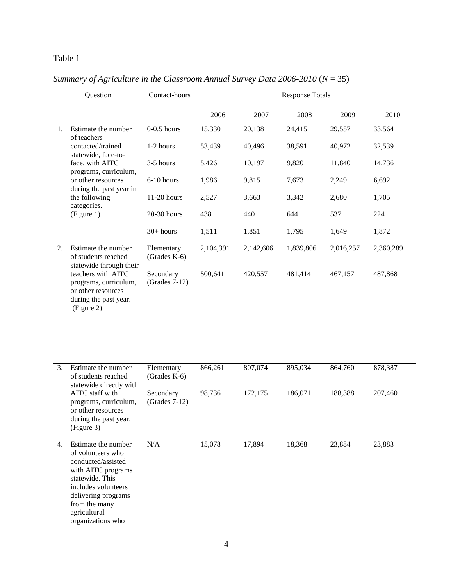# Table 1

|                  | Question                                                                                                                                                                          | Contact-hours                | <b>Response Totals</b> |           |           |           |           |
|------------------|-----------------------------------------------------------------------------------------------------------------------------------------------------------------------------------|------------------------------|------------------------|-----------|-----------|-----------|-----------|
|                  |                                                                                                                                                                                   |                              | 2006                   | 2007      | 2008      | 2009      | 2010      |
| $\mathbf{1}$ .   | Estimate the number<br>of teachers                                                                                                                                                | $0-0.5$ hours                | 15,330                 | 20,138    | 24,415    | 29,557    | 33,564    |
|                  | contacted/trained<br>statewide, face-to-                                                                                                                                          | 1-2 hours                    | 53,439                 | 40,496    | 38,591    | 40,972    | 32,539    |
|                  | face, with AITC<br>programs, curriculum,                                                                                                                                          | 3-5 hours                    | 5,426                  | 10,197    | 9,820     | 11,840    | 14,736    |
|                  | or other resources<br>during the past year in                                                                                                                                     | $6-10$ hours                 | 1,986                  | 9,815     | 7,673     | 2,249     | 6,692     |
|                  | the following<br>categories.                                                                                                                                                      | $11-20$ hours                | 2,527                  | 3,663     | 3,342     | 2,680     | 1,705     |
|                  | (Figure 1)                                                                                                                                                                        | 20-30 hours                  | 438                    | 440       | 644       | 537       | 224       |
|                  |                                                                                                                                                                                   | $30+ hours$                  | 1,511                  | 1,851     | 1,795     | 1,649     | 1,872     |
| 2.               | Estimate the number<br>of students reached<br>statewide through their<br>teachers with AITC<br>programs, curriculum,<br>or other resources<br>during the past year.<br>(Figure 2) | Elementary<br>(Grades K-6)   | 2,104,391              | 2,142,606 | 1,839,806 | 2,016,257 | 2,360,289 |
|                  |                                                                                                                                                                                   | Secondary<br>$(Grades 7-12)$ | 500,641                | 420,557   | 481,414   | 467,157   | 487,868   |
| $\overline{3}$ . | Estimate the number<br>of students reached<br>statewide directly with                                                                                                             | Elementary<br>$(Grades K-6)$ | 866,261                | 807,074   | 895,034   | 864,760   | 878,387   |

# *Summary of Agriculture in the Classroom Annual Survey Data 2006-2010*  $(N = 35)$

| 3. | Estimate the number<br>of students reached<br>statewide directly with                                                                                                                                       | Elementary<br>$(Grades K-6)$ | 866,261 | 807,074 | 895,034 | 864,760 | 878,387 |
|----|-------------------------------------------------------------------------------------------------------------------------------------------------------------------------------------------------------------|------------------------------|---------|---------|---------|---------|---------|
|    | AITC staff with<br>programs, curriculum,<br>or other resources<br>during the past year.<br>(Figure 3)                                                                                                       | Secondary<br>$(Grades 7-12)$ | 98,736  | 172,175 | 186,071 | 188,388 | 207,460 |
| 4. | Estimate the number<br>of volunteers who<br>conducted/assisted<br>with AITC programs<br>statewide. This<br>includes volunteers<br>delivering programs<br>from the many<br>agricultural<br>organizations who | N/A                          | 15,078  | 17,894  | 18,368  | 23,884  | 23,883  |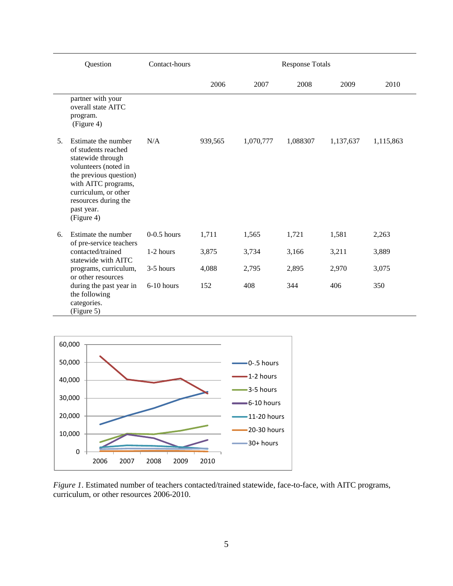|    | Question                                                                                                                                                                                                             | <b>Response Totals</b> |         |           |          |           |           |
|----|----------------------------------------------------------------------------------------------------------------------------------------------------------------------------------------------------------------------|------------------------|---------|-----------|----------|-----------|-----------|
|    |                                                                                                                                                                                                                      |                        | 2006    | 2007      | 2008     | 2009      | 2010      |
|    | partner with your<br>overall state AITC<br>program.<br>(Figure 4)                                                                                                                                                    |                        |         |           |          |           |           |
| 5. | Estimate the number<br>of students reached<br>statewide through<br>volunteers (noted in<br>the previous question)<br>with AITC programs,<br>curriculum, or other<br>resources during the<br>past year.<br>(Figure 4) | N/A                    | 939,565 | 1,070,777 | 1,088307 | 1,137,637 | 1,115,863 |
| 6. | Estimate the number<br>of pre-service teachers                                                                                                                                                                       | $0-0.5$ hours          | 1,711   | 1,565     | 1,721    | 1,581     | 2,263     |
|    | contacted/trained<br>statewide with AITC                                                                                                                                                                             | 1-2 hours              | 3,875   | 3,734     | 3,166    | 3,211     | 3,889     |
|    | programs, curriculum,<br>or other resources                                                                                                                                                                          | 3-5 hours              | 4,088   | 2,795     | 2,895    | 2,970     | 3,075     |
|    | during the past year in<br>the following<br>categories.<br>(Figure 5)                                                                                                                                                | 6-10 hours             | 152     | 408       | 344      | 406       | 350       |



*Figure 1*. Estimated number of teachers contacted/trained statewide, face-to-face, with AITC programs, curriculum, or other resources 2006-2010.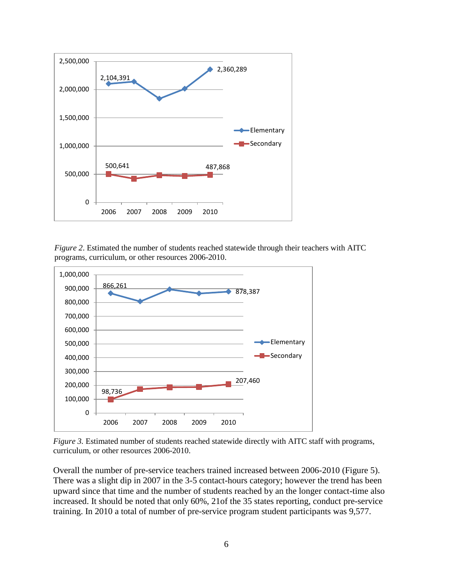

*Figure 2*. Estimated the number of students reached statewide through their teachers with AITC programs, curriculum, or other resources 2006-2010.



*Figure 3.* Estimated number of students reached statewide directly with AITC staff with programs, curriculum, or other resources 2006-2010.

Overall the number of pre-service teachers trained increased between 2006-2010 (Figure 5). There was a slight dip in 2007 in the 3-5 contact-hours category; however the trend has been upward since that time and the number of students reached by an the longer contact-time also increased. It should be noted that only 60%, 21of the 35 states reporting, conduct pre-service training. In 2010 a total of number of pre-service program student participants was 9,577.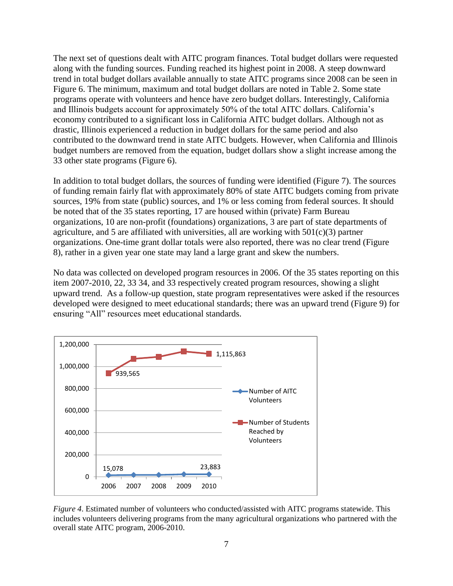The next set of questions dealt with AITC program finances. Total budget dollars were requested along with the funding sources. Funding reached its highest point in 2008. A steep downward trend in total budget dollars available annually to state AITC programs since 2008 can be seen in Figure 6. The minimum, maximum and total budget dollars are noted in Table 2. Some state programs operate with volunteers and hence have zero budget dollars. Interestingly, California and Illinois budgets account for approximately 50% of the total AITC dollars. California's economy contributed to a significant loss in California AITC budget dollars. Although not as drastic, Illinois experienced a reduction in budget dollars for the same period and also contributed to the downward trend in state AITC budgets. However, when California and Illinois budget numbers are removed from the equation, budget dollars show a slight increase among the 33 other state programs (Figure 6).

In addition to total budget dollars, the sources of funding were identified (Figure 7). The sources of funding remain fairly flat with approximately 80% of state AITC budgets coming from private sources, 19% from state (public) sources, and 1% or less coming from federal sources. It should be noted that of the 35 states reporting, 17 are housed within (private) Farm Bureau organizations, 10 are non-profit (foundations) organizations, 3 are part of state departments of agriculture, and 5 are affiliated with universities, all are working with  $501(c)(3)$  partner organizations. One-time grant dollar totals were also reported, there was no clear trend (Figure 8), rather in a given year one state may land a large grant and skew the numbers.

No data was collected on developed program resources in 2006. Of the 35 states reporting on this item 2007-2010, 22, 33 34, and 33 respectively created program resources, showing a slight upward trend. As a follow-up question, state program representatives were asked if the resources developed were designed to meet educational standards; there was an upward trend (Figure 9) for ensuring "All" resources meet educational standards.



*Figure 4*. Estimated number of volunteers who conducted/assisted with AITC programs statewide. This includes volunteers delivering programs from the many agricultural organizations who partnered with the overall state AITC program, 2006-2010.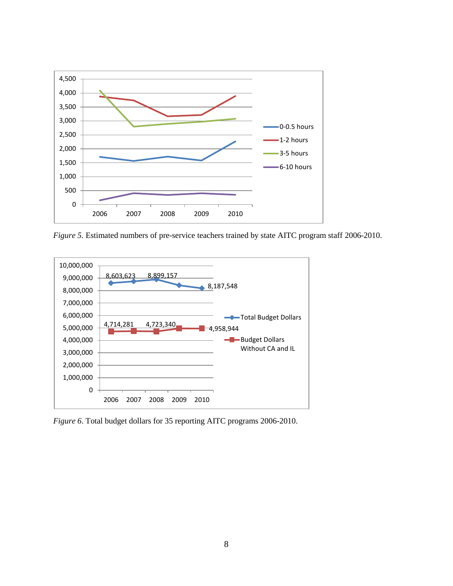

*Figure 5.* Estimated numbers of pre-service teachers trained by state AITC program staff 2006-2010.



*Figure 6*. Total budget dollars for 35 reporting AITC programs 2006-2010.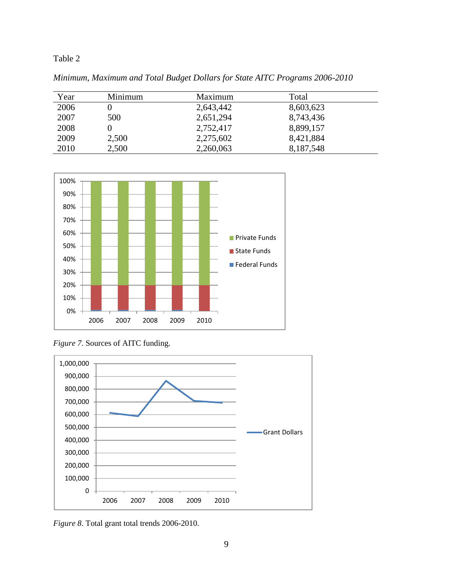# Table 2

*Minimum, Maximum and Total Budget Dollars for State AITC Programs 2006-2010*

| Year | Minimum | Maximum   | Total     |  |
|------|---------|-----------|-----------|--|
| 2006 |         | 2,643,442 | 8,603,623 |  |
| 2007 | 500     | 2,651,294 | 8,743,436 |  |
| 2008 |         | 2,752,417 | 8,899,157 |  |
| 2009 | 2,500   | 2,275,602 | 8,421,884 |  |
| 2010 | 2,500   | 2,260,063 | 8,187,548 |  |



*Figure 7*. Sources of AITC funding.



*Figure 8*. Total grant total trends 2006-2010.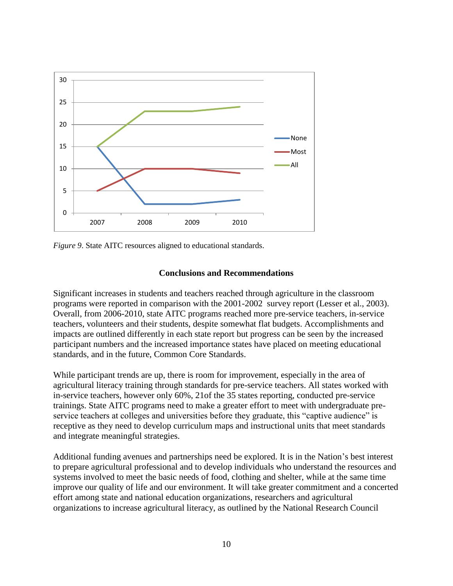

*Figure 9*. State AITC resources aligned to educational standards.

# **Conclusions and Recommendations**

Significant increases in students and teachers reached through agriculture in the classroom programs were reported in comparison with the 2001-2002 survey report (Lesser et al., 2003). Overall, from 2006-2010, state AITC programs reached more pre-service teachers, in-service teachers, volunteers and their students, despite somewhat flat budgets. Accomplishments and impacts are outlined differently in each state report but progress can be seen by the increased participant numbers and the increased importance states have placed on meeting educational standards, and in the future, Common Core Standards.

While participant trends are up, there is room for improvement, especially in the area of agricultural literacy training through standards for pre-service teachers. All states worked with in-service teachers, however only 60%, 21of the 35 states reporting, conducted pre-service trainings. State AITC programs need to make a greater effort to meet with undergraduate preservice teachers at colleges and universities before they graduate, this "captive audience" is receptive as they need to develop curriculum maps and instructional units that meet standards and integrate meaningful strategies.

Additional funding avenues and partnerships need be explored. It is in the Nation's best interest to prepare agricultural professional and to develop individuals who understand the resources and systems involved to meet the basic needs of food, clothing and shelter, while at the same time improve our quality of life and our environment. It will take greater commitment and a concerted effort among state and national education organizations, researchers and agricultural organizations to increase agricultural literacy, as outlined by the National Research Council